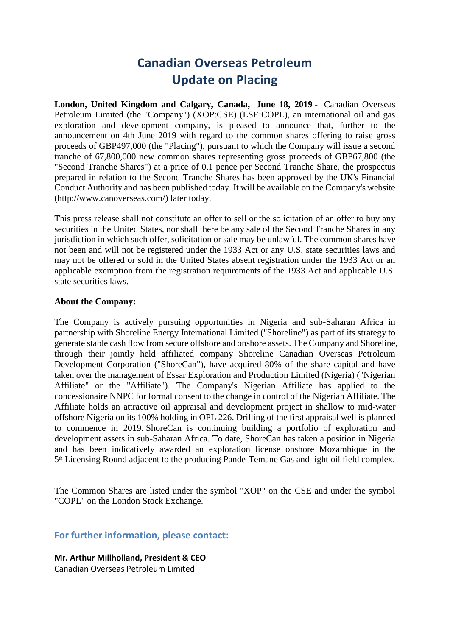# **Canadian Overseas Petroleum Update on Placing**

**London, United Kingdom and Calgary, Canada, June 18, 2019** - Canadian Overseas Petroleum Limited (the "Company") (XOP:CSE) (LSE:COPL), an international oil and gas exploration and development company, is pleased to announce that, further to the announcement on 4th June 2019 with regard to the common shares offering to raise gross proceeds of GBP497,000 (the "Placing"), pursuant to which the Company will issue a second tranche of 67,800,000 new common shares representing gross proceeds of GBP67,800 (the "Second Tranche Shares") at a price of 0.1 pence per Second Tranche Share, the prospectus prepared in relation to the Second Tranche Shares has been approved by the UK's Financial Conduct Authority and has been published today. It will be available on the Company's website (http://www.canoverseas.com/) later today.

This press release shall not constitute an offer to sell or the solicitation of an offer to buy any securities in the United States, nor shall there be any sale of the Second Tranche Shares in any jurisdiction in which such offer, solicitation or sale may be unlawful. The common shares have not been and will not be registered under the 1933 Act or any U.S. state securities laws and may not be offered or sold in the United States absent registration under the 1933 Act or an applicable exemption from the registration requirements of the 1933 Act and applicable U.S. state securities laws.

### **About the Company:**

The Company is actively pursuing opportunities in Nigeria and sub-Saharan Africa in partnership with Shoreline Energy International Limited ("Shoreline") as part of its strategy to generate stable cash flow from secure offshore and onshore assets. The Company and Shoreline, through their jointly held affiliated company Shoreline Canadian Overseas Petroleum Development Corporation ("ShoreCan"), have acquired 80% of the share capital and have taken over the management of Essar Exploration and Production Limited (Nigeria) ("Nigerian Affiliate" or the "Affiliate"). The Company's Nigerian Affiliate has applied to the concessionaire NNPC for formal consent to the change in control of the Nigerian Affiliate. The Affiliate holds an attractive oil appraisal and development project in shallow to mid-water offshore Nigeria on its 100% holding in OPL 226. Drilling of the first appraisal well is planned to commence in 2019. ShoreCan is continuing building a portfolio of exploration and development assets in sub-Saharan Africa. To date, ShoreCan has taken a position in Nigeria and has been indicatively awarded an exploration license onshore Mozambique in the 5<sup>th</sup> Licensing Round adjacent to the producing Pande-Temane Gas and light oil field complex.

The Common Shares are listed under the symbol "XOP" on the CSE and under the symbol "COPL" on the London Stock Exchange.

## **For further information, please contact:**

**Mr. Arthur Millholland, President & CEO** Canadian Overseas Petroleum Limited